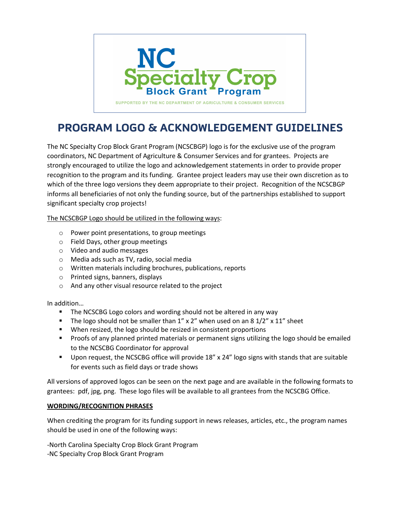

## **PROGRAM LOGO & ACKNOWLEDGEMENT GUIDELINES**

The NC Specialty Crop Block Grant Program (NCSCBGP) logo is for the exclusive use of the program coordinators, NC Department of Agriculture & Consumer Services and for grantees. Projects are strongly encouraged to utilize the logo and acknowledgement statements in order to provide proper recognition to the program and its funding. Grantee project leaders may use their own discretion as to which of the three logo versions they deem appropriate to their project. Recognition of the NCSCBGP informs all beneficiaries of not only the funding source, but of the partnerships established to support significant specialty crop projects!

The NCSCBGP Logo should be utilized in the following ways:

- o Power point presentations, to group meetings
- o Field Days, other group meetings
- o Video and audio messages
- o Media ads such as TV, radio, social media
- o Written materials including brochures, publications, reports
- o Printed signs, banners, displays
- o And any other visual resource related to the project

In addition…

- **The NCSCBG Logo colors and wording should not be altered in any way**
- The logo should not be smaller than  $1''$  x  $2''$  when used on an 8  $1/2''$  x  $11''$  sheet
- When resized, the logo should be resized in consistent proportions
- **Proofs of any planned printed materials or permanent signs utilizing the logo should be emailed** to the NCSCBG Coordinator for approval
- Upon request, the NCSCBG office will provide 18" x 24" logo signs with stands that are suitable for events such as field days or trade shows

All versions of approved logos can be seen on the next page and are available in the following formats to grantees: pdf, jpg, png. These logo files will be available to all grantees from the NCSCBG Office.

## **WORDING/RECOGNITION PHRASES**

When crediting the program for its funding support in news releases, articles, etc., the program names should be used in one of the following ways:

-North Carolina Specialty Crop Block Grant Program -NC Specialty Crop Block Grant Program